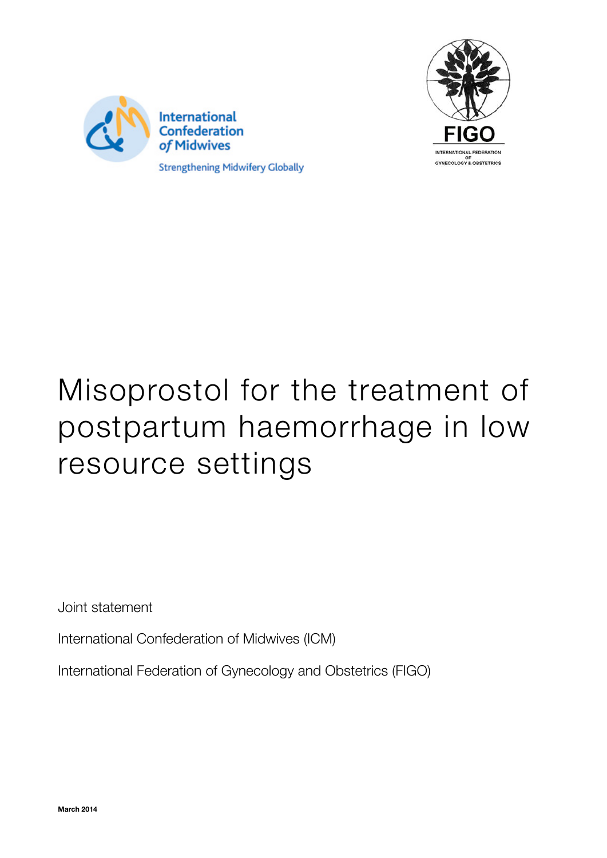



# Misoprostol for the treatment of postpartum haemorrhage in low resource settings

Joint statement

International Confederation of Midwives (ICM)

International Federation of Gynecology and Obstetrics (FIGO)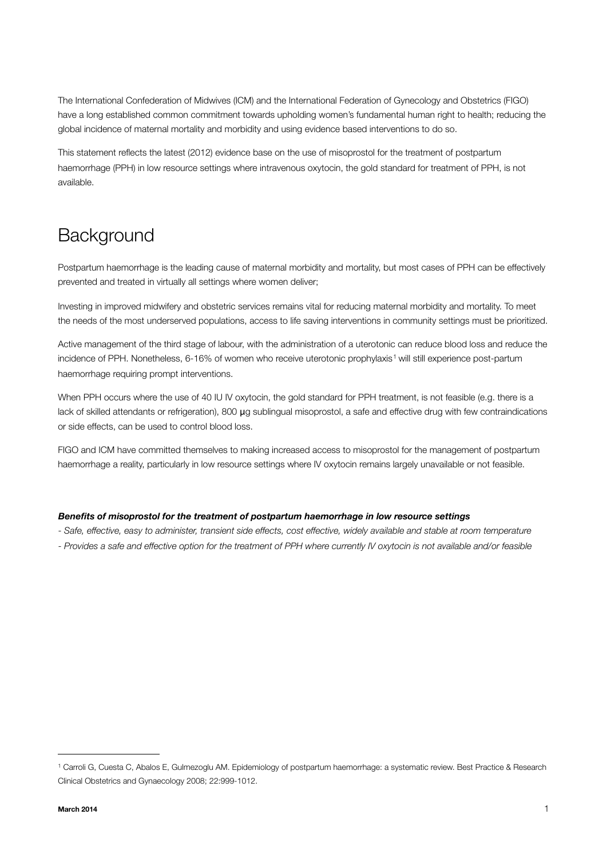The International Confederation of Midwives (ICM) and the International Federation of Gynecology and Obstetrics (FIGO) have a long established common commitment towards upholding women's fundamental human right to health; reducing the global incidence of maternal mortality and morbidity and using evidence based interventions to do so.

This statement reflects the latest (2012) evidence base on the use of misoprostol for the treatment of postpartum haemorrhage (PPH) in low resource settings where intravenous oxytocin, the gold standard for treatment of PPH, is not available.

## **Background**

Postpartum haemorrhage is the leading cause of maternal morbidity and mortality, but most cases of PPH can be effectively prevented and treated in virtually all settings where women deliver;

Investing in improved midwifery and obstetric services remains vital for reducing maternal morbidity and mortality. To meet the needs of the most underserved populations, access to life saving interventions in community settings must be prioritized.

Active management of the third stage of labour, with the administration of a uterotonic can reduce blood loss and reduce the incidence of PPH. Nonetheless, 6-[1](#page-1-0)6% of women who receive uterotonic prophylaxis<sup>1</sup> will still experience post-partum haemorrhage requiring prompt interventions.

When PPH occurs where the use of 40 IU IV oxytocin, the gold standard for PPH treatment, is not feasible (e.g. there is a lack of skilled attendants or refrigeration), 800 μg sublingual misoprostol, a safe and effective drug with few contraindications or side effects, can be used to control blood loss.

FIGO and ICM have committed themselves to making increased access to misoprostol for the management of postpartum haemorrhage a reality, particularly in low resource settings where IV oxytocin remains largely unavailable or not feasible.

#### *Benefits of misoprostol for the treatment of postpartum haemorrhage in low resource settings*

- *Safe, effective, easy to administer, transient side effects, cost effective, widely available and stable at room temperature*
- *Provides a safe and effective option for the treatment of PPH where currently IV oxytocin is not available and/or feasible*

<span id="page-1-0"></span><sup>1</sup> Carroli G, Cuesta C, Abalos E, Gulmezoglu AM. Epidemiology of postpartum haemorrhage: a systematic review. Best Practice & Research Clinical Obstetrics and Gynaecology 2008; 22:999-1012.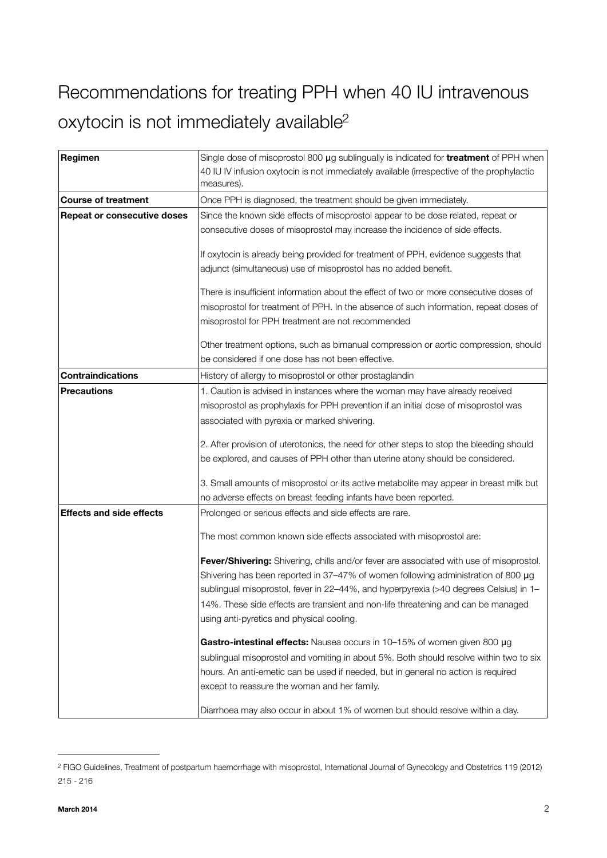# Recommendations for treating PPH when 40 IU intravenous oxytocin is not immediately available<sup>2</sup>

| Regimen                            | Single dose of misoprostol 800 µg sublingually is indicated for <b>treatment</b> of PPH when<br>40 IU IV infusion oxytocin is not immediately available (irrespective of the prophylactic<br>measures). |
|------------------------------------|---------------------------------------------------------------------------------------------------------------------------------------------------------------------------------------------------------|
| <b>Course of treatment</b>         | Once PPH is diagnosed, the treatment should be given immediately.                                                                                                                                       |
| <b>Repeat or consecutive doses</b> | Since the known side effects of misoprostol appear to be dose related, repeat or                                                                                                                        |
|                                    | consecutive doses of misoprostol may increase the incidence of side effects.                                                                                                                            |
|                                    |                                                                                                                                                                                                         |
|                                    | If oxytocin is already being provided for treatment of PPH, evidence suggests that                                                                                                                      |
|                                    | adjunct (simultaneous) use of misoprostol has no added benefit.                                                                                                                                         |
|                                    | There is insufficient information about the effect of two or more consecutive doses of                                                                                                                  |
|                                    | misoprostol for treatment of PPH. In the absence of such information, repeat doses of                                                                                                                   |
|                                    | misoprostol for PPH treatment are not recommended                                                                                                                                                       |
|                                    |                                                                                                                                                                                                         |
|                                    | Other treatment options, such as bimanual compression or aortic compression, should<br>be considered if one dose has not been effective.                                                                |
| <b>Contraindications</b>           |                                                                                                                                                                                                         |
|                                    | History of allergy to misoprostol or other prostaglandin                                                                                                                                                |
| <b>Precautions</b>                 | 1. Caution is advised in instances where the woman may have already received<br>misoprostol as prophylaxis for PPH prevention if an initial dose of misoprostol was                                     |
|                                    |                                                                                                                                                                                                         |
|                                    | associated with pyrexia or marked shivering.                                                                                                                                                            |
|                                    | 2. After provision of uterotonics, the need for other steps to stop the bleeding should                                                                                                                 |
|                                    | be explored, and causes of PPH other than uterine atony should be considered.                                                                                                                           |
|                                    |                                                                                                                                                                                                         |
|                                    | 3. Small amounts of misoprostol or its active metabolite may appear in breast milk but                                                                                                                  |
|                                    | no adverse effects on breast feeding infants have been reported.                                                                                                                                        |
| <b>Effects and side effects</b>    | Prolonged or serious effects and side effects are rare.                                                                                                                                                 |
|                                    | The most common known side effects associated with misoprostol are:                                                                                                                                     |
|                                    |                                                                                                                                                                                                         |
|                                    | Fever/Shivering: Shivering, chills and/or fever are associated with use of misoprostol.<br>Shivering has been reported in 37-47% of women following administration of 800 $\mu$ g                       |
|                                    | sublingual misoprostol, fever in 22-44%, and hyperpyrexia (>40 degrees Celsius) in 1-                                                                                                                   |
|                                    | 14%. These side effects are transient and non-life threatening and can be managed                                                                                                                       |
|                                    | using anti-pyretics and physical cooling.                                                                                                                                                               |
|                                    |                                                                                                                                                                                                         |
|                                    | Gastro-intestinal effects: Nausea occurs in 10-15% of women given 800 µg                                                                                                                                |
|                                    | sublingual misoprostol and vomiting in about 5%. Both should resolve within two to six                                                                                                                  |
|                                    | hours. An anti-emetic can be used if needed, but in general no action is required                                                                                                                       |
|                                    | except to reassure the woman and her family.                                                                                                                                                            |
|                                    | Diarrhoea may also occur in about 1% of women but should resolve within a day.                                                                                                                          |

<span id="page-2-0"></span><sup>2</sup> FIGO Guidelines, Treatment of postpartum haemorrhage with misoprostol, International Journal of Gynecology and Obstetrics 119 (2012) 215 - 216